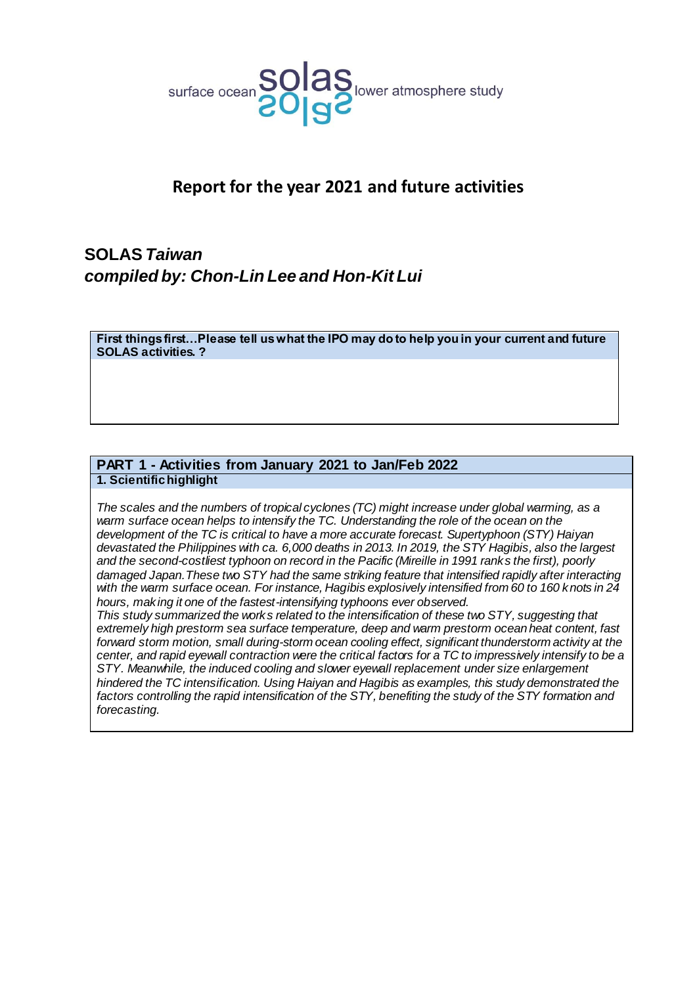

## **Report for the year 2021 and future activities**

# **SOLAS***Taiwan compiled by: Chon-Lin Lee and Hon-Kit Lui*

**First things first…Please tell us what the IPO may do to help you in your current and future SOLAS activities. ?**

## **PART 1 - Activities from January 2021 to Jan/Feb 2022 1. Scientific highlight**

*The scales and the numbers of tropical cyclones (TC) might increase under global warming, as a warm surface ocean helps to intensify the TC. Understanding the role of the ocean on the development of the TC is critical to have a more accurate forecast. Supertyphoon (STY) Haiyan devastated the Philippines with ca. 6,000 deaths in 2013. In 2019, the STY Hagibis, also the largest and the second-costliest typhoon on record in the Pacific (Mireille in 1991 ranks the first), poorly damaged Japan.These two STY had the same striking feature that intensified rapidly after interacting with the warm surface ocean. For instance, Hagibis explosively intensified from 60 to 160 knots in 24 hours, making it one of the fastest-intensifying typhoons ever observed.*

*This study summarized the works related to the intensification of these two STY, suggesting that extremely high prestorm sea surface temperature, deep and warm prestorm ocean heat content, fast forward storm motion, small during-storm ocean cooling effect, significant thunderstorm activity at the center, and rapid eyewall contraction were the critical factors for a TC to impressively intensify to be a STY. Meanwhile, the induced cooling and slower eyewall replacement under size enlargement hindered the TC intensification. Using Haiyan and Hagibis as examples, this study demonstrated the factors controlling the rapid intensification of the STY, benefiting the study of the STY formation and forecasting.*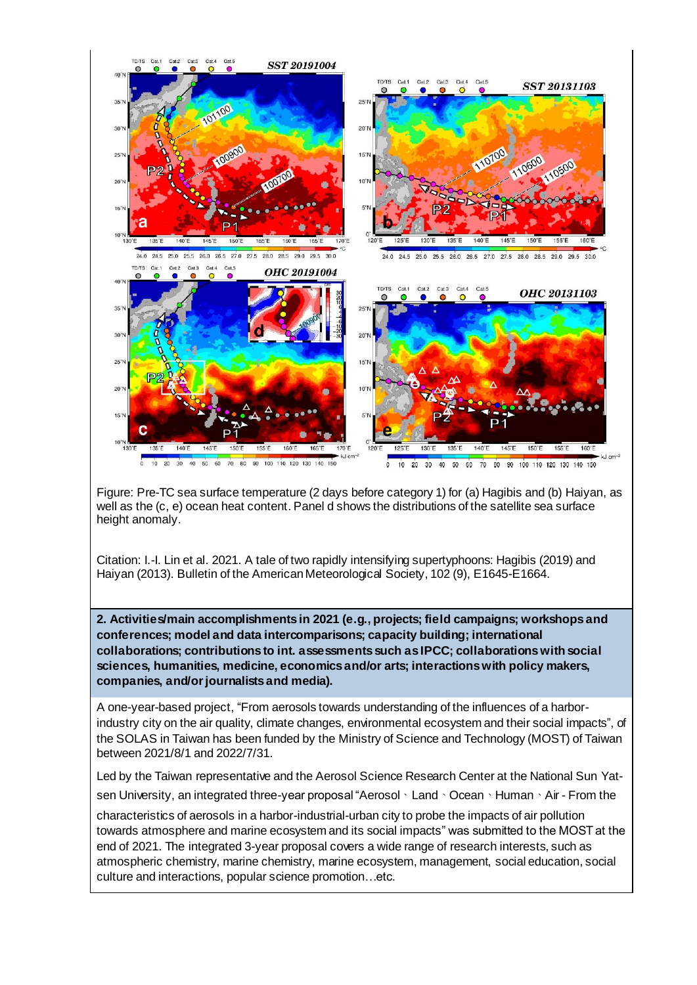

Figure: Pre-TC sea surface temperature (2 days before category 1) for (a) Hagibis and (b) Haiyan, as well as the (c, e) ocean heat content. Panel d shows the distributions of the satellite sea surface height anomaly.

Citation: I.-I. Lin et al. 2021. A tale of two rapidly intensifying supertyphoons: Hagibis (2019) and Haiyan (2013). Bulletin of the American Meteorological Society, 102 (9), E1645-E1664.

**2. Activities/main accomplishments in 2021 (e.g., projects; field campaigns; workshops and conferences; model and data intercomparisons; capacity building; international collaborations; contributions to int. assessments such as IPCC; collaborations with social sciences, humanities, medicine, economics and/or arts; interactions with policy makers, companies, and/or journalists and media).**

A one-year-based project, "From aerosols towards understanding of the influences of a harborindustry city on the air quality, climate changes, environmental ecosystem and their social impacts", of the SOLAS in Taiwan has been funded by the Ministry of Science and Technology (MOST) of Taiwan between 2021/8/1 and 2022/7/31.

Led by the Taiwan representative and the Aerosol Science Research Center at the National Sun Yatsen University, an integrated three-year proposal "Aerosol、Land、Ocean、Human、Air - From the

characteristics of aerosols in a harbor-industrial-urban city to probe the impacts of air pollution towards atmosphere and marine ecosystem and its social impacts" was submitted to the MOST at the end of 2021. The integrated 3-year proposal covers a wide range of research interests, such as atmospheric chemistry, marine chemistry, marine ecosystem, management, social education, social culture and interactions, popular science promotion…etc.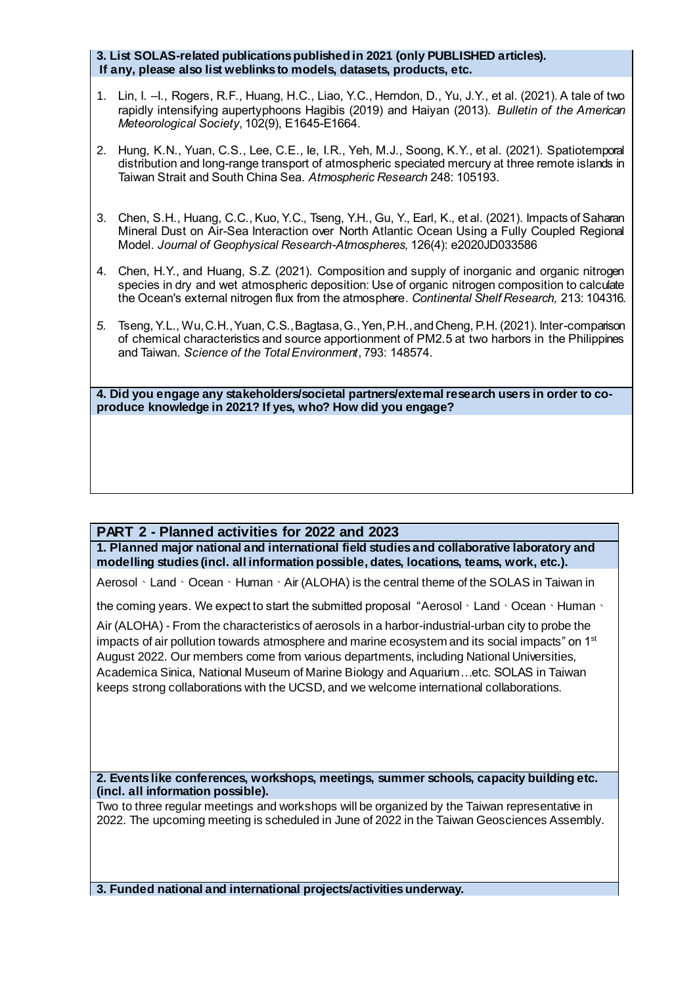### **3. List SOLAS-related publications published in 2021 (only PUBLISHED articles). If any, please also list weblinks to models, datasets, products, etc.**

- 1. Lin, I. –I., Rogers, R.F., Huang, H.C., Liao, Y.C., Herndon, D., Yu, J.Y., et al. (2021). A tale of two rapidly intensifying aupertyphoons Hagibis (2019) and Haiyan (2013). *Bulletin of the American Meteorological Society*, 102(9), E1645-E1664.
- 2. Hung, K.N., Yuan, C.S., Lee, C.E., Ie, I.R., Yeh, M.J., Soong, K.Y., et al. (2021). Spatiotemporal distribution and long-range transport of atmospheric speciated mercury at three remote islands in Taiwan Strait and South China Sea. *Atmospheric Research* 248: 105193.
- 3. Chen, S.H., Huang, C.C., Kuo, Y.C., Tseng, Y.H., Gu, Y., Earl, K., et al. (2021). Impacts of Saharan Mineral Dust on Air-Sea Interaction over North Atlantic Ocean Using a Fully Coupled Regional Model. *Journal of Geophysical Research-Atmospheres,* 126(4): e2020JD033586
- 4. Chen, H.Y., and Huang, S.Z. (2021). Composition and supply of inorganic and organic nitrogen species in dry and wet atmospheric deposition: Use of organic nitrogen composition to calculate the Ocean's external nitrogen flux from the atmosphere. *Continental Shelf Research,* 213: 104316.
- *5.* Tseng, Y.L., Wu, C.H., Yuan, C.S., Bagtasa, G., Yen, P.H., and Cheng, P.H. (2021). Inter-comparison of chemical characteristics and source apportionment of PM2.5 at two harbors in the Philippines and Taiwan. *Science of the Total Environment*, 793: 148574.

**4. Did you engage any stakeholders/societal partners/external research users in order to coproduce knowledge in 2021? If yes, who? How did you engage?**

### **PART 2 - Planned activities for 2022 and 2023**

**1. Planned major national and international field studies and collaborative laboratory and modelling studies (incl. all information possible, dates, locations, teams, work, etc.).** 

Aerosol、Land、Ocean、Human、Air (ALOHA) is the central theme of the SOLAS in Taiwan in

the coming years. We expect to start the submitted proposal "Aerosol、Land、Ocean、Human、

Air (ALOHA) - From the characteristics of aerosols in a harbor-industrial-urban city to probe the impacts of air pollution towards atmosphere and marine ecosystem and its social impacts" on 1<sup>st</sup> August 2022. Our members come from various departments, including National Universities, Academica Sinica, National Museum of Marine Biology and Aquarium…etc. SOLAS in Taiwan keeps strong collaborations with the UCSD, and we welcome international collaborations.

**2. Events like conferences, workshops, meetings, summer schools, capacity building etc. (incl. all information possible).** 

Two to three regular meetings and workshops will be organized by the Taiwan representative in 2022. The upcoming meeting is scheduled in June of 2022 in the Taiwan Geosciences Assembly.

**3. Funded national and international projects/activitiesunderway.**